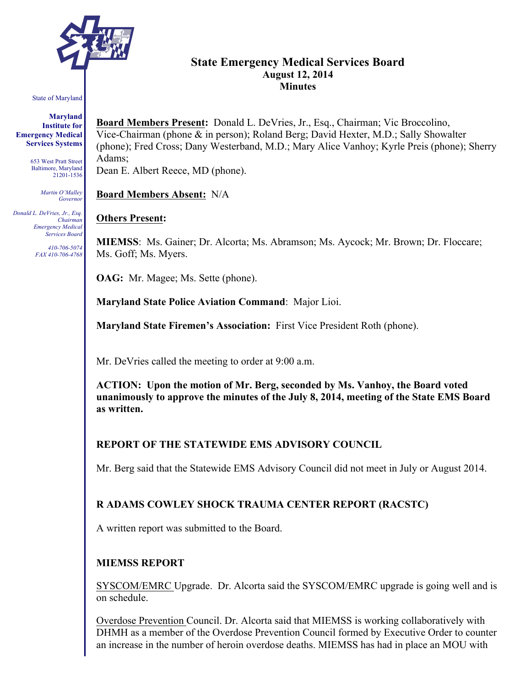

# **State Emergency Medical Services Board August 12, 2014 Minutes**

#### State of Maryland

#### **Maryland Institute for Emergency Medical Services Systems**

653 West Pratt Street Baltimore, Maryland 21201-1536

> *Martin O'Malley Governor*

*Donald L. DeVries, Jr., Esq. Chairman Emergency Medical Services Board*

> *410-706-5074 FAX 410-706-4768*

**Board Members Present:** Donald L. DeVries, Jr., Esq., Chairman; Vic Broccolino, Vice-Chairman (phone & in person); Roland Berg; David Hexter, M.D.; Sally Showalter (phone); Fred Cross; Dany Westerband, M.D.; Mary Alice Vanhoy; Kyrle Preis (phone); Sherry Adams; Dean E. Albert Reece, MD (phone).

**Board Members Absent:** N/A

## **Others Present:**

**MIEMSS**: Ms. Gainer; Dr. Alcorta; Ms. Abramson; Ms. Aycock; Mr. Brown; Dr. Floccare; Ms. Goff; Ms. Myers.

**OAG:** Mr. Magee; Ms. Sette (phone).

**Maryland State Police Aviation Command**: Major Lioi.

**Maryland State Firemen's Association:** First Vice President Roth (phone).

Mr. DeVries called the meeting to order at 9:00 a.m.

**ACTION: Upon the motion of Mr. Berg, seconded by Ms. Vanhoy, the Board voted unanimously to approve the minutes of the July 8, 2014, meeting of the State EMS Board as written.**

## **REPORT OF THE STATEWIDE EMS ADVISORY COUNCIL**

Mr. Berg said that the Statewide EMS Advisory Council did not meet in July or August 2014.

## **R ADAMS COWLEY SHOCK TRAUMA CENTER REPORT (RACSTC)**

A written report was submitted to the Board.

#### **MIEMSS REPORT**

SYSCOM/EMRC Upgrade. Dr. Alcorta said the SYSCOM/EMRC upgrade is going well and is on schedule.

Overdose Prevention Council. Dr. Alcorta said that MIEMSS is working collaboratively with DHMH as a member of the Overdose Prevention Council formed by Executive Order to counter an increase in the number of heroin overdose deaths. MIEMSS has had in place an MOU with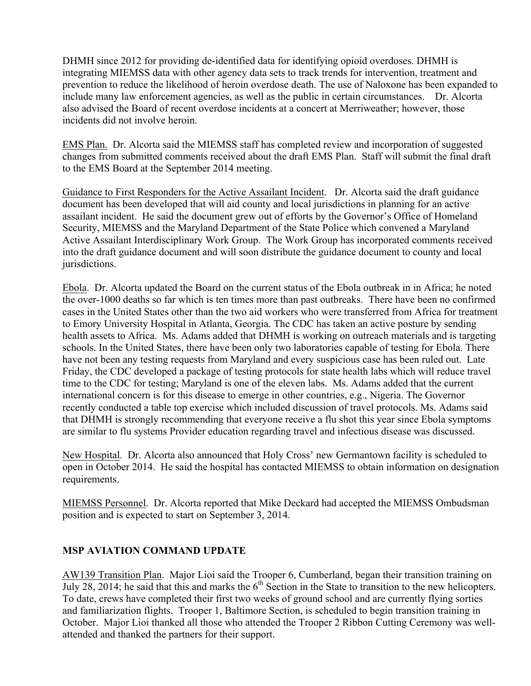DHMH since 2012 for providing de-identified data for identifying opioid overdoses. DHMH is integrating MIEMSS data with other agency data sets to track trends for intervention, treatment and prevention to reduce the likelihood of heroin overdose death. The use of Naloxone has been expanded to include many law enforcement agencies, as well as the public in certain circumstances. Dr. Alcorta also advised the Board of recent overdose incidents at a concert at Merriweather; however, those incidents did not involve heroin.

EMS Plan. Dr. Alcorta said the MIEMSS staff has completed review and incorporation of suggested changes from submitted comments received about the draft EMS Plan. Staff will submit the final draft to the EMS Board at the September 2014 meeting.

Guidance to First Responders for the Active Assailant Incident. Dr. Alcorta said the draft guidance document has been developed that will aid county and local jurisdictions in planning for an active assailant incident. He said the document grew out of efforts by the Governor's Office of Homeland Security, MIEMSS and the Maryland Department of the State Police which convened a Maryland Active Assailant Interdisciplinary Work Group. The Work Group has incorporated comments received into the draft guidance document and will soon distribute the guidance document to county and local jurisdictions.

Ebola. Dr. Alcorta updated the Board on the current status of the Ebola outbreak in in Africa; he noted the over-1000 deaths so far which is ten times more than past outbreaks. There have been no confirmed cases in the United States other than the two aid workers who were transferred from Africa for treatment to Emory University Hospital in Atlanta, Georgia. The CDC has taken an active posture by sending health assets to Africa. Ms. Adams added that DHMH is working on outreach materials and is targeting schools. In the United States, there have been only two laboratories capable of testing for Ebola. There have not been any testing requests from Maryland and every suspicious case has been ruled out. Late Friday, the CDC developed a package of testing protocols for state health labs which will reduce travel time to the CDC for testing; Maryland is one of the eleven labs. Ms. Adams added that the current international concern is for this disease to emerge in other countries, e.g., Nigeria. The Governor recently conducted a table top exercise which included discussion of travel protocols. Ms. Adams said that DHMH is strongly recommending that everyone receive a flu shot this year since Ebola symptoms are similar to flu systems Provider education regarding travel and infectious disease was discussed.

New Hospital. Dr. Alcorta also announced that Holy Cross' new Germantown facility is scheduled to open in October 2014. He said the hospital has contacted MIEMSS to obtain information on designation requirements.

MIEMSS Personnel. Dr. Alcorta reported that Mike Deckard had accepted the MIEMSS Ombudsman position and is expected to start on September 3, 2014.

## **MSP AVIATION COMMAND UPDATE**

AW139 Transition Plan. Major Lioi said the Trooper 6, Cumberland, began their transition training on July 28, 2014; he said that this and marks the  $6<sup>th</sup>$  Section in the State to transition to the new helicopters. To date, crews have completed their first two weeks of ground school and are currently flying sorties and familiarization flights. Trooper 1, Baltimore Section, is scheduled to begin transition training in October. Major Lioi thanked all those who attended the Trooper 2 Ribbon Cutting Ceremony was wellattended and thanked the partners for their support.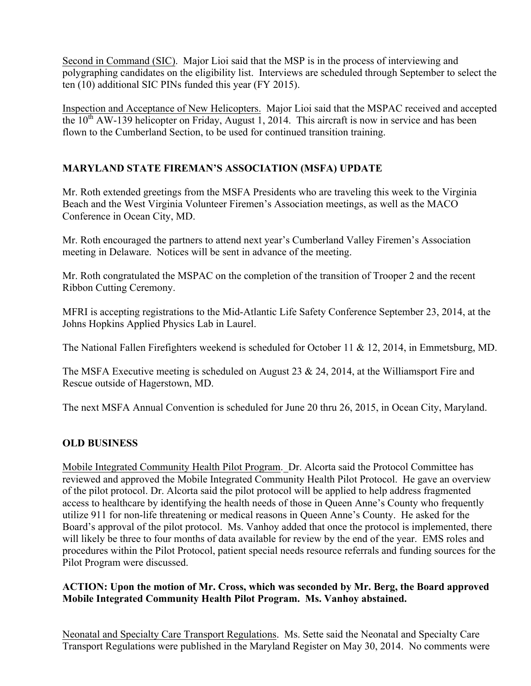Second in Command (SIC). Major Lioi said that the MSP is in the process of interviewing and polygraphing candidates on the eligibility list. Interviews are scheduled through September to select the ten (10) additional SIC PINs funded this year (FY 2015).

Inspection and Acceptance of New Helicopters. Major Lioi said that the MSPAC received and accepted the  $10^{th}$  AW-139 helicopter on Friday, August 1, 2014. This aircraft is now in service and has been flown to the Cumberland Section, to be used for continued transition training.

# **MARYLAND STATE FIREMAN'S ASSOCIATION (MSFA) UPDATE**

Mr. Roth extended greetings from the MSFA Presidents who are traveling this week to the Virginia Beach and the West Virginia Volunteer Firemen's Association meetings, as well as the MACO Conference in Ocean City, MD.

Mr. Roth encouraged the partners to attend next year's Cumberland Valley Firemen's Association meeting in Delaware. Notices will be sent in advance of the meeting.

Mr. Roth congratulated the MSPAC on the completion of the transition of Trooper 2 and the recent Ribbon Cutting Ceremony.

MFRI is accepting registrations to the Mid-Atlantic Life Safety Conference September 23, 2014, at the Johns Hopkins Applied Physics Lab in Laurel.

The National Fallen Firefighters weekend is scheduled for October 11 & 12, 2014, in Emmetsburg, MD.

The MSFA Executive meeting is scheduled on August 23 & 24, 2014, at the Williamsport Fire and Rescue outside of Hagerstown, MD.

The next MSFA Annual Convention is scheduled for June 20 thru 26, 2015, in Ocean City, Maryland.

# **OLD BUSINESS**

Mobile Integrated Community Health Pilot Program. Dr. Alcorta said the Protocol Committee has reviewed and approved the Mobile Integrated Community Health Pilot Protocol. He gave an overview of the pilot protocol. Dr. Alcorta said the pilot protocol will be applied to help address fragmented access to healthcare by identifying the health needs of those in Queen Anne's County who frequently utilize 911 for non-life threatening or medical reasons in Queen Anne's County. He asked for the Board's approval of the pilot protocol. Ms. Vanhoy added that once the protocol is implemented, there will likely be three to four months of data available for review by the end of the year. EMS roles and procedures within the Pilot Protocol, patient special needs resource referrals and funding sources for the Pilot Program were discussed.

## **ACTION: Upon the motion of Mr. Cross, which was seconded by Mr. Berg, the Board approved Mobile Integrated Community Health Pilot Program. Ms. Vanhoy abstained.**

Neonatal and Specialty Care Transport Regulations. Ms. Sette said the Neonatal and Specialty Care Transport Regulations were published in the Maryland Register on May 30, 2014. No comments were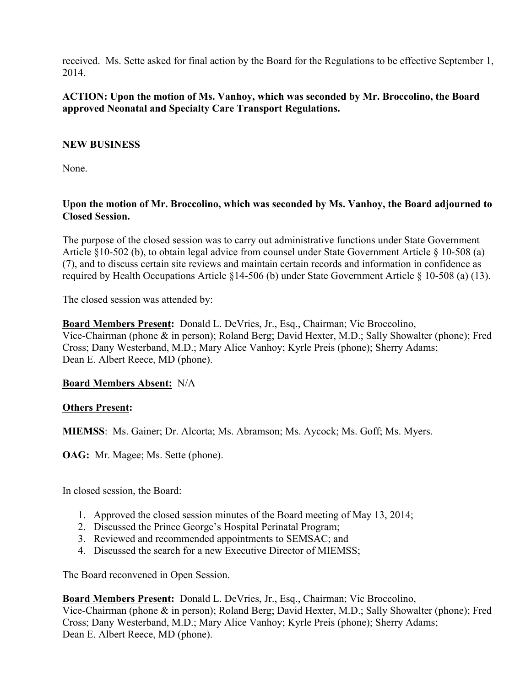received. Ms. Sette asked for final action by the Board for the Regulations to be effective September 1, 2014.

## **ACTION: Upon the motion of Ms. Vanhoy, which was seconded by Mr. Broccolino, the Board approved Neonatal and Specialty Care Transport Regulations.**

## **NEW BUSINESS**

None.

## **Upon the motion of Mr. Broccolino, which was seconded by Ms. Vanhoy, the Board adjourned to Closed Session.**

The purpose of the closed session was to carry out administrative functions under State Government Article §10-502 (b), to obtain legal advice from counsel under State Government Article § 10-508 (a) (7), and to discuss certain site reviews and maintain certain records and information in confidence as required by Health Occupations Article §14-506 (b) under State Government Article § 10-508 (a) (13).

The closed session was attended by:

**Board Members Present:** Donald L. DeVries, Jr., Esq., Chairman; Vic Broccolino, Vice-Chairman (phone & in person); Roland Berg; David Hexter, M.D.; Sally Showalter (phone); Fred Cross; Dany Westerband, M.D.; Mary Alice Vanhoy; Kyrle Preis (phone); Sherry Adams; Dean E. Albert Reece, MD (phone).

## **Board Members Absent:** N/A

## **Others Present:**

**MIEMSS**: Ms. Gainer; Dr. Alcorta; Ms. Abramson; Ms. Aycock; Ms. Goff; Ms. Myers.

**OAG:** Mr. Magee; Ms. Sette (phone).

In closed session, the Board:

- 1. Approved the closed session minutes of the Board meeting of May 13, 2014;
- 2. Discussed the Prince George's Hospital Perinatal Program;
- 3. Reviewed and recommended appointments to SEMSAC; and
- 4. Discussed the search for a new Executive Director of MIEMSS;

The Board reconvened in Open Session.

**Board Members Present:** Donald L. DeVries, Jr., Esq., Chairman; Vic Broccolino, Vice-Chairman (phone & in person); Roland Berg; David Hexter, M.D.; Sally Showalter (phone); Fred Cross; Dany Westerband, M.D.; Mary Alice Vanhoy; Kyrle Preis (phone); Sherry Adams; Dean E. Albert Reece, MD (phone).